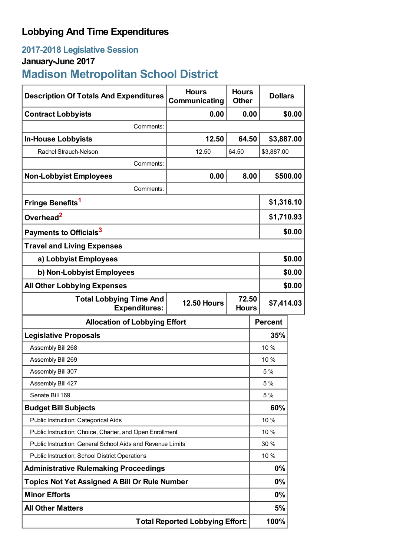## **Lobbying And Time Expenditures**

# **2017-2018 Legislative Session**

### **January-June 2017**

# **Madison Metropolitan School District**

| <b>Description Of Totals And Expenditures</b>              | <b>Hours</b><br>Communicating | <b>Hours</b><br><b>Other</b> | <b>Dollars</b> |          |
|------------------------------------------------------------|-------------------------------|------------------------------|----------------|----------|
| <b>Contract Lobbyists</b>                                  | 0.00                          | 0.00                         |                | \$0.00   |
| Comments:                                                  |                               |                              |                |          |
| <b>In-House Lobbyists</b>                                  | 12.50                         | 64.50                        | \$3,887.00     |          |
| Rachel Strauch-Nelson                                      | 12.50                         | 64.50                        | \$3,887.00     |          |
| Comments:                                                  |                               |                              |                |          |
| <b>Non-Lobbyist Employees</b>                              | 0.00                          | 8.00                         |                | \$500.00 |
| Comments:                                                  |                               |                              |                |          |
| Fringe Benefits <sup>1</sup>                               |                               |                              | \$1,316.10     |          |
| Overhead <sup>2</sup>                                      |                               |                              | \$1,710.93     |          |
| Payments to Officials <sup>3</sup>                         |                               |                              |                | \$0.00   |
| <b>Travel and Living Expenses</b>                          |                               |                              |                |          |
| a) Lobbyist Employees                                      |                               |                              |                | \$0.00   |
| b) Non-Lobbyist Employees                                  |                               |                              |                | \$0.00   |
| <b>All Other Lobbying Expenses</b>                         |                               |                              |                | \$0.00   |
| <b>Total Lobbying Time And</b><br><b>Expenditures:</b>     | <b>12.50 Hours</b>            | 72.50<br><b>Hours</b>        | \$7,414.03     |          |
| <b>Allocation of Lobbying Effort</b>                       |                               |                              | <b>Percent</b> |          |
| <b>Legislative Proposals</b>                               |                               |                              | 35%            |          |
| Assembly Bill 268                                          |                               |                              | 10%            |          |
| Assembly Bill 269                                          |                               |                              | 10 %           |          |
| Assembly Bill 307                                          |                               |                              | 5 %            |          |
| Assembly Bill 427                                          |                               |                              | 5 %            |          |
| Senate Bill 169                                            |                               |                              | 5 %            |          |
| <b>Budget Bill Subjects</b>                                |                               |                              | 60%            |          |
| Public Instruction: Categorical Aids                       |                               |                              | 10 %           |          |
| Public Instruction: Choice, Charter, and Open Enrollment   |                               |                              | 10 %           |          |
| Public Instruction: General School Aids and Revenue Limits |                               |                              | 30 %           |          |
| Public Instruction: School District Operations             |                               |                              | 10 %           |          |
| <b>Administrative Rulemaking Proceedings</b>               |                               |                              | $0\%$          |          |
| <b>Topics Not Yet Assigned A Bill Or Rule Number</b>       |                               |                              | $0\%$          |          |
| <b>Minor Efforts</b>                                       |                               |                              | $0\%$          |          |
| <b>All Other Matters</b>                                   |                               |                              | 5%             |          |
| <b>Total Reported Lobbying Effort:</b>                     |                               |                              | 100%           |          |